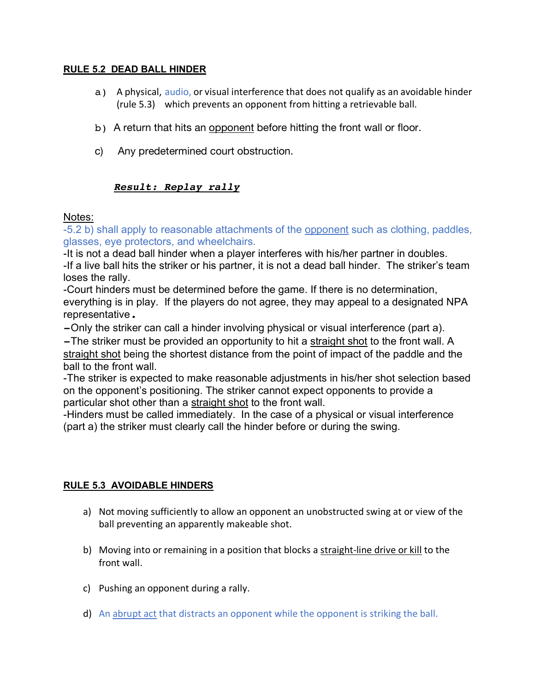#### **RULE 5.2 DEAD BALL HINDER**

- a) A physical, audio, or visual interference that does not qualify as an avoidable hinder (rule 5.3) which prevents an opponent from hitting a retrievable ball.
- b) A return that hits an opponent before hitting the front wall or floor.
- c) Any predetermined court obstruction.

# *Result: Replay rally*

#### Notes:

-5.2 b) shall apply to reasonable attachments of the opponent such as clothing, paddles, glasses, eye protectors, and wheelchairs.

-It is not a dead ball hinder when a player interferes with his/her partner in doubles. -If a live ball hits the striker or his partner, it is not a dead ball hinder. The striker's team loses the rally.

-Court hinders must be determined before the game. If there is no determination, everything is in play. If the players do not agree, they may appeal to a designated NPA representative.

-Only the striker can call a hinder involving physical or visual interference (part a).

-The striker must be provided an opportunity to hit a straight shot to the front wall. A straight shot being the shortest distance from the point of impact of the paddle and the ball to the front wall.

-The striker is expected to make reasonable adjustments in his/her shot selection based on the opponent's positioning. The striker cannot expect opponents to provide a particular shot other than a straight shot to the front wall.

-Hinders must be called immediately. In the case of a physical or visual interference (part a) the striker must clearly call the hinder before or during the swing.

## **RULE 5.3 AVOIDABLE HINDERS**

- a) Not moving sufficiently to allow an opponent an unobstructed swing at or view of the ball preventing an apparently makeable shot.
- b) Moving into or remaining in a position that blocks a straight-line drive or kill to the front wall.
- c) Pushing an opponent during a rally.
- d) An abrupt act that distracts an opponent while the opponent is striking the ball.